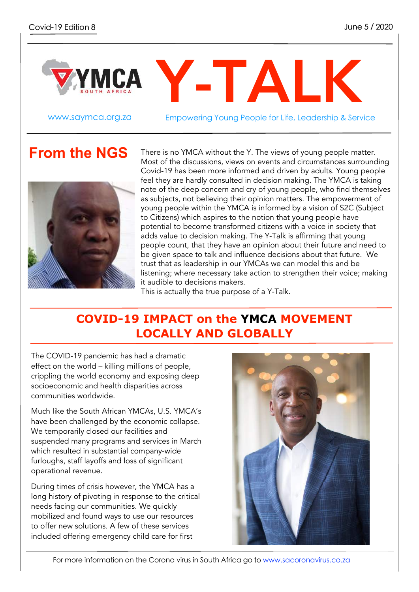

www.saymca.org.za Empowering Young People for Life, Leadership & Service

### **From the NGS**



There is no YMCA without the Y. The views of young people matter. Most of the discussions, views on events and circumstances surrounding Covid-19 has been more informed and driven by adults. Young people feel they are hardly consulted in decision making. The YMCA is taking note of the deep concern and cry of young people, who find themselves as subjects, not believing their opinion matters. The empowerment of young people within the YMCA is informed by a vision of S2C (Subject to Citizens) which aspires to the notion that young people have potential to become transformed citizens with a voice in society that adds value to decision making. The Y-Talk is affirming that young people count, that they have an opinion about their future and need to be given space to talk and influence decisions about that future. We trust that as leadership in our YMCAs we can model this and be listening; where necessary take action to strengthen their voice; making it audible to decisions makers.

This is actually the true purpose of a Y-Talk.

### **COVID-19 IMPACT on the YMCA MOVEMENT LOCALLY AND GLOBALLY**

The COVID-19 pandemic has had a dramatic effect on the world – killing millions of people, crippling the world economy and exposing deep socioeconomic and health disparities across communities worldwide.

Much like the South African YMCAs, U.S. YMCA's have been challenged by the economic collapse. We temporarily closed our facilities and suspended many programs and services in March which resulted in substantial company-wide furloughs, staff layoffs and loss of significant operational revenue.

During times of crisis however, the YMCA has a long history of pivoting in response to the critical needs facing our communities. We quickly mobilized and found ways to use our resources to offer new solutions. A few of these services included offering emergency child care for first

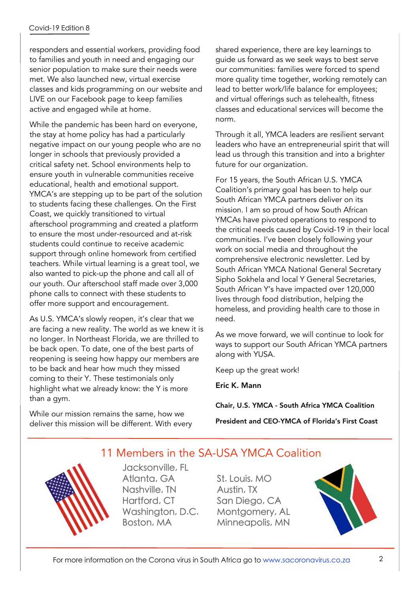#### Covid-19 Edition 8

responders and essential workers, providing food to families and youth in need and engaging our senior population to make sure their needs were met. We also launched new, virtual exercise classes and kids programming on our website and LIVE on our Facebook page to keep families active and engaged while at home.

While the pandemic has been hard on everyone, the stay at home policy has had a particularly negative impact on our young people who are no longer in schools that previously provided a critical safety net. School environments help to ensure youth in vulnerable communities receive educational, health and emotional support. YMCA's are stepping up to be part of the solution to students facing these challenges. On the First Coast, we quickly transitioned to virtual afterschool programming and created a platform to ensure the most under-resourced and at-risk students could continue to receive academic support through online homework from certified teachers. While virtual learning is a great tool, we also wanted to pick-up the phone and call all of our youth. Our afterschool staff made over 3,000 phone calls to connect with these students to offer more support and encouragement.

As U.S. YMCA's slowly reopen, it's clear that we are facing a new reality. The world as we knew it is no longer. In Northeast Florida, we are thrilled to be back open. To date, one of the best parts of reopening is seeing how happy our members are to be back and hear how much they missed coming to their Y. These testimonials only highlight what we already know: the Y is more than a gym.

While our mission remains the same, how we deliver this mission will be different. With every shared experience, there are key learnings to guide us forward as we seek ways to best serve our communities: families were forced to spend more quality time together, working remotely can lead to better work/life balance for employees; and virtual offerings such as telehealth, fitness classes and educational services will become the norm.

Through it all, YMCA leaders are resilient servant leaders who have an entrepreneurial spirit that will lead us through this transition and into a brighter future for our organization.

For 15 years, the South African U.S. YMCA Coalition's primary goal has been to help our South African YMCA partners deliver on its mission. I am so proud of how South African YMCAs have pivoted operations to respond to the critical needs caused by Covid-19 in their local communities. I've been closely following your work on social media and throughout the comprehensive electronic newsletter. Led by South African YMCA National General Secretary Sipho Sokhela and local Y General Secretaries, South African Y's have impacted over 120,000 lives through food distribution, helping the homeless, and providing health care to those in need.

As we move forward, we will continue to look for ways to support our South African YMCA partners along with YUSA.

Keep up the great work!

Eric K. Mann

Chair, U.S. YMCA - South Africa YMCA Coalition

President and CEO-YMCA of Florida's First Coast

### 11 Members in the SA-USA YMCA Coalition

Jacksonville, FL Atlanta, GA Nashville, TN Hartford, CT Washington, D.C. Boston, MA

St. Louis, MO Austin, TX San Diego, CA Montgomery, AL Minneapolis, MN

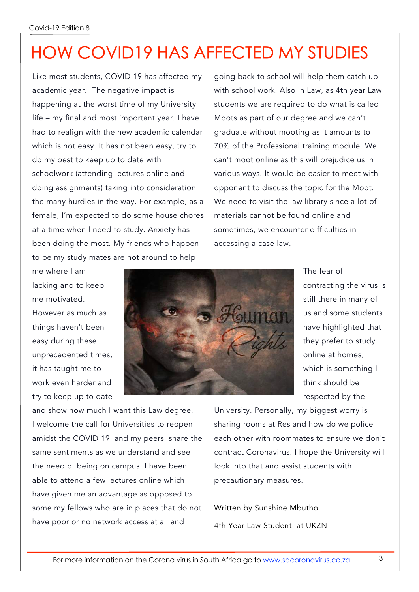# HOW COVID19 HAS AFFECTED MY STUDIES

Like most students, COVID 19 has affected my academic year. The negative impact is happening at the worst time of my University life – my final and most important year. I have had to realign with the new academic calendar which is not easy. It has not been easy, try to do my best to keep up to date with schoolwork (attending lectures online and doing assignments) taking into consideration the many hurdles in the way. For example, as a female, I'm expected to do some house chores at a time when l need to study. Anxiety has been doing the most. My friends who happen to be my study mates are not around to help

going back to school will help them catch up with school work. Also in Law, as 4th year Law students we are required to do what is called Moots as part of our degree and we can't graduate without mooting as it amounts to 70% of the Professional training module. We can't moot online as this will prejudice us in various ways. It would be easier to meet with opponent to discuss the topic for the Moot. We need to visit the law library since a lot of materials cannot be found online and sometimes, we encounter difficulties in accessing a case law.

me where I am lacking and to keep me motivated. However as much as things haven't been easy during these unprecedented times, it has taught me to work even harder and try to keep up to date



The fear of contracting the virus is still there in many of us and some students have highlighted that they prefer to study online at homes, which is something I think should be respected by the

and show how much I want this Law degree. l welcome the call for Universities to reopen amidst the COVID 19 and my peers share the same sentiments as we understand and see the need of being on campus. I have been able to attend a few lectures online which have given me an advantage as opposed to some my fellows who are in places that do not have poor or no network access at all and

University. Personally, my biggest worry is sharing rooms at Res and how do we police each other with roommates to ensure we don't contract Coronavirus. I hope the University will look into that and assist students with precautionary measures.

Written by Sunshine Mbutho 4th Year Law Student at UKZN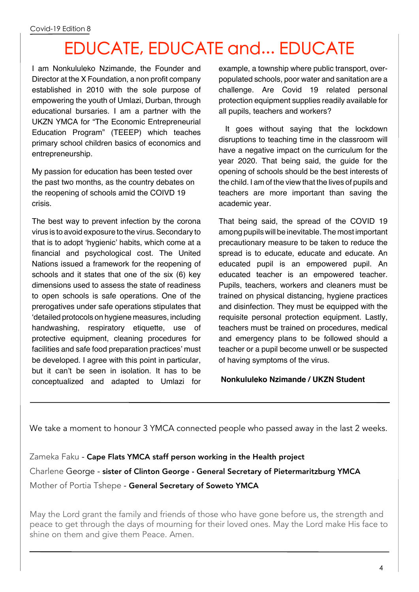# EDUCATE, EDUCATE and... EDUCATE

I am Nonkululeko Nzimande, the Founder and Director at the X Foundation, a non profit company established in 2010 with the sole purpose of empowering the youth of Umlazi, Durban, through educational bursaries. I am a partner with the UKZN YMCA for "The Economic Entrepreneurial Education Program" (TEEEP) which teaches primary school children basics of economics and entrepreneurship.

My passion for education has been tested over the past two months, as the country debates on the reopening of schools amid the COIVD 19 crisis.

The best way to prevent infection by the corona virus is to avoid exposure to the virus. Secondary to that is to adopt 'hygienic' habits, which come at a financial and psychological cost. The United Nations issued a framework for the reopening of schools and it states that one of the six (6) key dimensions used to assess the state of readiness to open schools is safe operations. One of the prerogatives under safe operations stipulates that 'detailed protocols on hygiene measures, including handwashing, respiratory etiquette, use of protective equipment, cleaning procedures for facilities and safe food preparation practices' must be developed. I agree with this point in particular, but it can't be seen in isolation. It has to be conceptualized and adapted to Umlazi for example, a township where public transport, overpopulated schools, poor water and sanitation are a challenge. Are Covid 19 related personal protection equipment supplies readily available for all pupils, teachers and workers?

It goes without saying that the lockdown disruptions to teaching time in the classroom will have a negative impact on the curriculum for the year 2020. That being said, the guide for the opening of schools should be the best interests of the child. I am of the view that the lives of pupils and teachers are more important than saving the academic year.

That being said, the spread of the COVID 19 among pupils will be inevitable. The most important precautionary measure to be taken to reduce the spread is to educate, educate and educate. An educated pupil is an empowered pupil. An educated teacher is an empowered teacher. Pupils, teachers, workers and cleaners must be trained on physical distancing, hygiene practices and disinfection. They must be equipped with the requisite personal protection equipment. Lastly, teachers must be trained on procedures, medical and emergency plans to be followed should a teacher or a pupil become unwell or be suspected of having symptoms of the virus.

#### **Nonkululeko Nzimande / UKZN Student**

We take a moment to honour 3 YMCA connected people who passed away in the last 2 weeks.

Zameka Faku - Cape Flats YMCA staff person working in the Health project Charlene George - sister of Clinton George - General Secretary of Pietermaritzburg YMCA Mother of Portia Tshepe - General Secretary of Soweto YMCA

May the Lord grant the family and friends of those who have gone before us, the strength and peace to get through the days of mourning for their loved ones. May the Lord make His face to shine on them and give them Peace. Amen.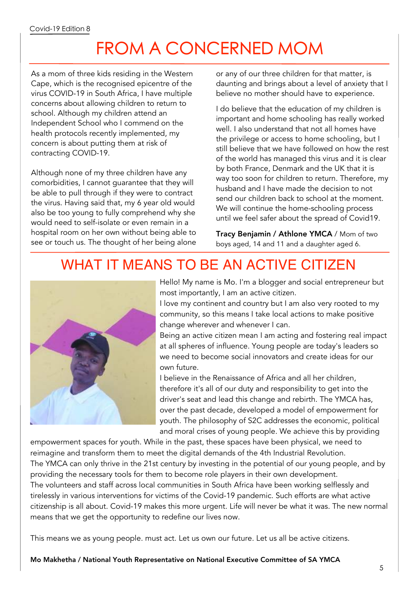# FROM A CONCERNED MOM

As a mom of three kids residing in the Western Cape, which is the recognised epicentre of the virus COVID-19 in South Africa, I have multiple concerns about allowing children to return to school. Although my children attend an Independent School who I commend on the health protocols recently implemented, my concern is about putting them at risk of contracting COVID-19.

Although none of my three children have any comorbidities, I cannot guarantee that they will be able to pull through if they were to contract the virus. Having said that, my 6 year old would also be too young to fully comprehend why she would need to self-isolate or even remain in a hospital room on her own without being able to see or touch us. The thought of her being alone

or any of our three children for that matter, is daunting and brings about a level of anxiety that I believe no mother should have to experience.

I do believe that the education of my children is important and home schooling has really worked well. I also understand that not all homes have the privilege or access to home schooling, but I still believe that we have followed on how the rest of the world has managed this virus and it is clear by both France, Denmark and the UK that it is way too soon for children to return. Therefore, my husband and I have made the decision to not send our children back to school at the moment. We will continue the home-schooling process until we feel safer about the spread of Covid19.

Tracy Benjamin / Athlone YMCA / Mom of two boys aged, 14 and 11 and a daughter aged 6.

## WHAT IT MEANS TO BE AN ACTIVE CITIZEN



Hello! My name is Mo. I'm a blogger and social entrepreneur but most importantly, I am an active citizen.

I love my continent and country but I am also very rooted to my community, so this means I take local actions to make positive change wherever and whenever I can.

Being an active citizen mean I am acting and fostering real impact at all spheres of influence. Young people are today's leaders so we need to become social innovators and create ideas for our own future.

I believe in the Renaissance of Africa and all her children, therefore it's all of our duty and responsibility to get into the driver's seat and lead this change and rebirth. The YMCA has, over the past decade, developed a model of empowerment for youth. The philosophy of S2C addresses the economic, political and moral crises of young people. We achieve this by providing

empowerment spaces for youth. While in the past, these spaces have been physical, we need to reimagine and transform them to meet the digital demands of the 4th Industrial Revolution. The YMCA can only thrive in the 21st century by investing in the potential of our young people, and by providing the necessary tools for them to become role players in their own development. The volunteers and staff across local communities in South Africa have been working selflessly and tirelessly in various interventions for victims of the Covid-19 pandemic. Such efforts are what active citizenship is all about. Covid-19 makes this more urgent. Life will never be what it was. The new normal means that we get the opportunity to redefine our lives now.

This means we as young people. must act. Let us own our future. Let us all be active citizens.